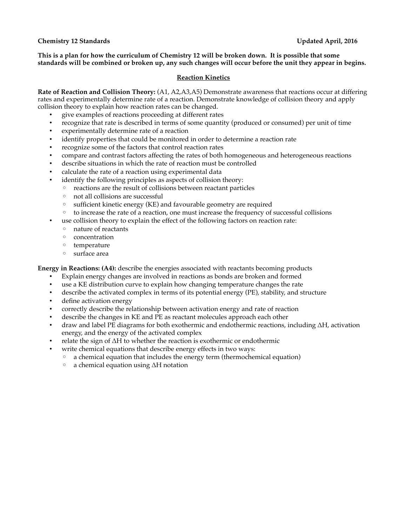## **Chemistry 12 Standards Updated April, 2016**

**This is a plan for how the curriculum of Chemistry 12 will be broken down. It is possible that some standards will be combined or broken up, any such changes will occur before the unit they appear in begins.** 

### **Reaction Kinetics**

**Rate of Reaction and Collision Theory:** (A1, A2,A3,A5) Demonstrate awareness that reactions occur at differing rates and experimentally determine rate of a reaction. Demonstrate knowledge of collision theory and apply collision theory to explain how reaction rates can be changed.

- give examples of reactions proceeding at different rates
- recognize that rate is described in terms of some quantity (produced or consumed) per unit of time
- experimentally determine rate of a reaction
- identify properties that could be monitored in order to determine a reaction rate
- recognize some of the factors that control reaction rates
- compare and contrast factors affecting the rates of both homogeneous and heterogeneous reactions
- describe situations in which the rate of reaction must be controlled
- calculate the rate of a reaction using experimental data
- identify the following principles as aspects of collision theory:
	- reactions are the result of collisions between reactant particles
	- not all collisions are successful
	- sufficient kinetic energy (KE) and favourable geometry are required
	- to increase the rate of a reaction, one must increase the frequency of successful collisions
- use collision theory to explain the effect of the following factors on reaction rate:
	- nature of reactants
	- concentration
	- temperature
	- surface area

**Energy in Reactions: (A4):** describe the energies associated with reactants becoming products

- Explain energy changes are involved in reactions as bonds are broken and formed
- use a KE distribution curve to explain how changing temperature changes the rate
- describe the activated complex in terms of its potential energy (PE), stability, and structure
- define activation energy
- correctly describe the relationship between activation energy and rate of reaction
- describe the changes in KE and PE as reactant molecules approach each other
- draw and label PE diagrams for both exothermic and endothermic reactions, including ΔH, activation energy, and the energy of the activated complex
- relate the sign of ΔH to whether the reaction is exothermic or endothermic
	- write chemical equations that describe energy effects in two ways:
		- a chemical equation that includes the energy term (thermochemical equation)
		- a chemical equation using ΔH notation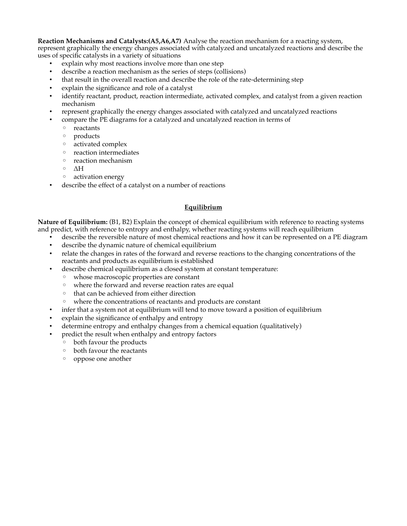**Reaction Mechanisms and Catalysts:(A5,A6,A7)** Analyse the reaction mechanism for a reacting system, represent graphically the energy changes associated with catalyzed and uncatalyzed reactions and describe the uses of specific catalysts in a variety of situations

- explain why most reactions involve more than one step
- describe a reaction mechanism as the series of steps (collisions)
- that result in the overall reaction and describe the role of the rate-determining step
- explain the significance and role of a catalyst
- identify reactant, product, reaction intermediate, activated complex, and catalyst from a given reaction mechanism
- represent graphically the energy changes associated with catalyzed and uncatalyzed reactions
- compare the PE diagrams for a catalyzed and uncatalyzed reaction in terms of
	- reactants
	- products
	- activated complex
	- reaction intermediates
	- reaction mechanism
	- ΔH
	- activation energy
- describe the effect of a catalyst on a number of reactions

## **Equilibrium**

**Nature of Equilibrium:** (B1, B2) Explain the concept of chemical equilibrium with reference to reacting systems and predict, with reference to entropy and enthalpy, whether reacting systems will reach equilibrium

- describe the reversible nature of most chemical reactions and how it can be represented on a PE diagram
	- describe the dynamic nature of chemical equilibrium
- relate the changes in rates of the forward and reverse reactions to the changing concentrations of the reactants and products as equilibrium is established
- describe chemical equilibrium as a closed system at constant temperature:
	- whose macroscopic properties are constant
	- where the forward and reverse reaction rates are equal
	- that can be achieved from either direction
	- where the concentrations of reactants and products are constant
- infer that a system not at equilibrium will tend to move toward a position of equilibrium
- explain the significance of enthalpy and entropy
- determine entropy and enthalpy changes from a chemical equation (qualitatively)
- predict the result when enthalpy and entropy factors
	- both favour the products
	- both favour the reactants
	- oppose one another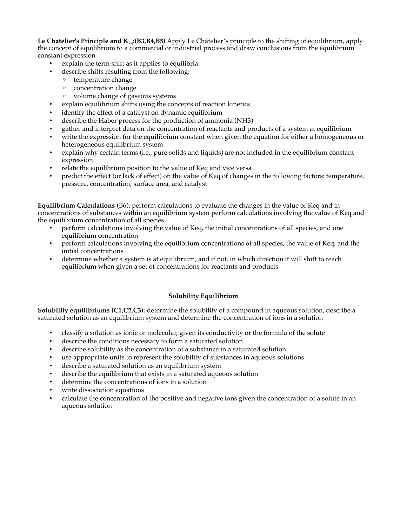**Le Chatelier's Principle and Keq:(B3,B4,B5)** Apply Le Châtelier's principle to the shifting of equilibrium, apply the concept of equilibrium to a commercial or industrial process and draw conclusions from the equilibrium constant expression

- explain the term shift as it applies to equilibria
- describe shifts resulting from the following:
	- temperature change
	- concentration change
	- volume change of gaseous systems
- explain equilibrium shifts using the concepts of reaction kinetics
- identify the effect of a catalyst on dynamic equilibrium
- describe the Haber process for the production of ammonia (NH3)
- gather and interpret data on the concentration of reactants and products of a system at equilibrium
- write the expression for the equilibrium constant when given the equation for either a homogeneous or heterogeneous equilibrium system
- explain why certain terms (i.e., pure solids and liquids) are not included in the equilibrium constant expression
- relate the equilibrium position to the value of Keq and vice versa
- predict the effect (or lack of effect) on the value of Keq of changes in the following factors: temperature, pressure, concentration, surface area, and catalyst

**Equilibrium Calculations** (B6): perform calculations to evaluate the changes in the value of Keq and in concentrations of substances within an equilibrium system perform calculations involving the value of Keq and the equilibrium concentration of all species

- perform calculations involving the value of Keq, the initial concentrations of all species, and one equilibrium concentration
- perform calculations involving the equilibrium concentrations of all species, the value of Keq, and the initial concentrations
- determine whether a system is at equilibrium, and if not, in which direction it will shift to reach equilibrium when given a set of concentrations for reactants and products

## **Solubility Equilibrium**

**Solubility equilibriums (C1,C2,C3):** determine the solubility of a compound in aqueous solution, describe a saturated solution as an equilibrium system and determine the concentration of ions in a solution

- classify a solution as ionic or molecular, given its conductivity or the formula of the solute
- describe the conditions necessary to form a saturated solution
- describe solubility as the concentration of a substance in a saturated solution
- use appropriate units to represent the solubility of substances in aqueous solutions
- describe a saturated solution as an equilibrium system
- describe the equilibrium that exists in a saturated aqueous solution
- determine the concentrations of ions in a solution
- write dissociation equations
- calculate the concentration of the positive and negative ions given the concentration of a solute in an aqueous solution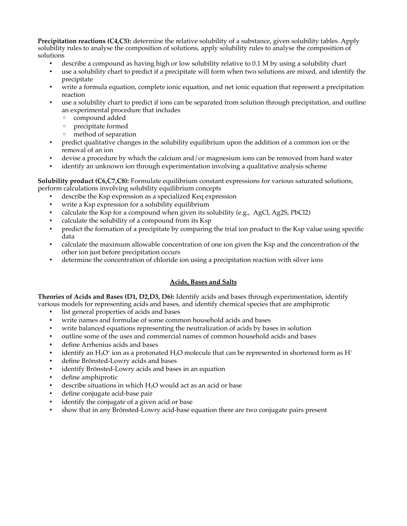**Precipitation reactions (C4,C5):** determine the relative solubility of a substance, given solubility tables. Apply solubility rules to analyse the composition of solutions, apply solubility rules to analyse the composition of solutions

- describe a compound as having high or low solubility relative to 0.1 M by using a solubility chart
- use a solubility chart to predict if a precipitate will form when two solutions are mixed, and identify the precipitate
- write a formula equation, complete ionic equation, and net ionic equation that represent a precipitation reaction
- use a solubility chart to predict if ions can be separated from solution through precipitation, and outline an experimental procedure that includes
	- compound added
	- precipitate formed
	- method of separation
- predict qualitative changes in the solubility equilibrium upon the addition of a common ion or the removal of an ion
- devise a procedure by which the calcium and/or magnesium ions can be removed from hard water
- identify an unknown ion through experimentation involving a qualitative analysis scheme

**Solubility product (C6,C7,C8):** Formulate equilibrium constant expressions for various saturated solutions, perform calculations involving solubility equilibrium concepts

- describe the Ksp expression as a specialized Keq expression
- write a Ksp expression for a solubility equilibrium
- calculate the Ksp for a compound when given its solubility (e.g.,  $AgCl$ ,  $Ag2S$ ,  $PbCl2$ )
- calculate the solubility of a compound from its Ksp
- predict the formation of a precipitate by comparing the trial ion product to the Ksp value using specific data
- calculate the maximum allowable concentration of one ion given the Ksp and the concentration of the other ion just before precipitation occurs
- determine the concentration of chloride ion using a precipitation reaction with silver ions

# **Acids, Bases and Salts**

**Theories of Acids and Bases (D1, D2,D3, D6):** Identify acids and bases through experimentation, identify various models for representing acids and bases, and identify chemical species that are amphiprotic

- list general properties of acids and bases
- write names and formulae of some common household acids and bases
- write balanced equations representing the neutralization of acids by bases in solution
- outline some of the uses and commercial names of common household acids and bases
- define Arrhenius acids and bases
- identify an  $\rm H_3O^+$  ion as a protonated  $\rm H_2O$  molecule that can be represented in shortened form as  $\rm H^+$
- define Brönsted-Lowry acids and bases
- identify Brönsted-Lowry acids and bases in an equation
- define amphiprotic
- describe situations in which  $H_2O$  would act as an acid or base
- define conjugate acid-base pair
- identify the conjugate of a given acid or base
- show that in any Brönsted-Lowry acid-base equation there are two conjugate pairs present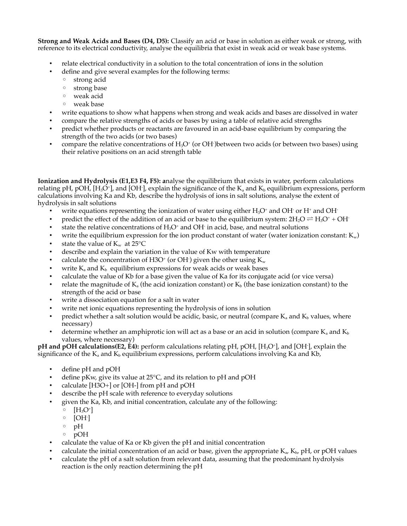**Strong and Weak Acids and Bases (D4, D5):** Classify an acid or base in solution as either weak or strong, with reference to its electrical conductivity, analyse the equilibria that exist in weak acid or weak base systems.

- relate electrical conductivity in a solution to the total concentration of ions in the solution
- define and give several examples for the following terms:
	- strong acid
	- strong base
	- weak acid
	- weak base
- write equations to show what happens when strong and weak acids and bases are dissolved in water
- compare the relative strengths of acids or bases by using a table of relative acid strengths
- predict whether products or reactants are favoured in an acid-base equilibrium by comparing the strength of the two acids (or two bases)
- compare the relative concentrations of  $H_3O^+$  (or OH<sup>-</sup>)between two acids (or between two bases) using their relative positions on an acid strength table

**Ionization and Hydrolysis (E1,E3 F4, F5): a**nalyse the equilibrium that exists in water, perform calculations relating pH, pOH, [H<sub>3</sub>O<sup>+</sup>], and [OH<sup>-</sup>], explain the significance of the K<sub>a</sub> and K<sub>b</sub> equilibrium expressions, perform calculations involving Ka and Kb, describe the hydrolysis of ions in salt solutions, analyse the extent of hydrolysis in salt solutions

- write equations representing the ionization of water using either  $H_3O^*$  and OH $\cdot$  or H $^+$  and OH $\cdot$
- predict the effect of the addition of an acid or base to the equilibrium system:  $2H_2O \rightleftharpoons H_3O^+ + OH^-$
- state the relative concentrations of  $H_3O^+$  and OH<sup>-</sup> in acid, base, and neutral solutions
- write the equilibrium expression for the ion product constant of water (water ionization constant:  $K_w$ )
- state the value of  $K_w$  at 25 $\rm ^{\circ}C$
- describe and explain the variation in the value of Kw with temperature
- calculate the concentration of H3O+ (or OH ) given the other using  $\rm K_w$
- write  $K_a$  and  $K_b$  equilibrium expressions for weak acids or weak bases
- calculate the value of Kb for a base given the value of Ka for its conjugate acid (or vice versa)
- relate the magnitude of  $K_a$  (the acid ionization constant) or  $K_b$  (the base ionization constant) to the strength of the acid or base
- write a dissociation equation for a salt in water
- write net ionic equations representing the hydrolysis of ions in solution
- predict whether a salt solution would be acidic, basic, or neutral (compare  $K_a$  and  $K_b$  values, where necessary)
- determine whether an amphiprotic ion will act as a base or an acid in solution (compare  $K_a$  and  $K_b$ ) values, where necessary)

**pH and pOH calculations(E2, E4):** perform calculations relating pH, pOH, [H<sub>3</sub>O<sup>+</sup>], and [OH<sup>-</sup>], explain the significance of the  $K_a$  and  $K_b$  equilibrium expressions, perform calculations involving Ka and Kb,

- define pH and pOH
- define pKw, give its value at 25°C, and its relation to pH and pOH
- calculate [H3O+] or [OH-] from pH and pOH
- describe the pH scale with reference to everyday solutions
- given the Ka, Kb, and initial concentration, calculate any of the following:
	- $\circ$   $[H_3O^+]$
	- $\circ$  [OH·]
	- pH
	- pOH
- calculate the value of Ka or Kb given the pH and initial concentration
- calculate the initial concentration of an acid or base, given the appropriate  $K_a$ ,  $K_b$ , pH, or pOH values
- calculate the pH of a salt solution from relevant data, assuming that the predominant hydrolysis reaction is the only reaction determining the pH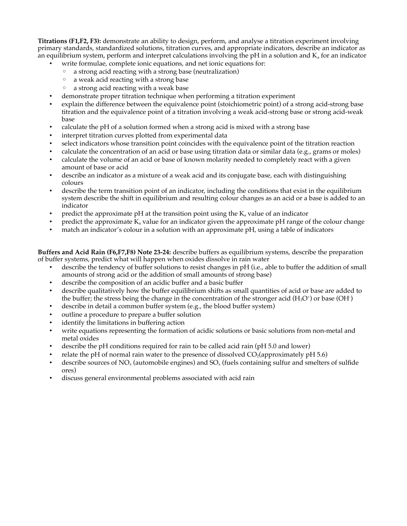**Titrations (F1,F2, F3):** demonstrate an ability to design, perform, and analyse a titration experiment involving primary standards, standardized solutions, titration curves, and appropriate indicators, describe an indicator as an equilibrium system, perform and interpret calculations involving the pH in a solution and  $K_a$  for an indicator

- write formulae, complete ionic equations, and net ionic equations for:
	- a strong acid reacting with a strong base (neutralization)
	- a weak acid reacting with a strong base
	- a strong acid reacting with a weak base
- demonstrate proper titration technique when performing a titration experiment
- explain the difference between the equivalence point (stoichiometric point) of a strong acid-strong base titration and the equivalence point of a titration involving a weak acid-strong base or strong acid-weak base
- calculate the pH of a solution formed when a strong acid is mixed with a strong base
- interpret titration curves plotted from experimental data
- select indicators whose transition point coincides with the equivalence point of the titration reaction
- calculate the concentration of an acid or base using titration data or similar data (e.g., grams or moles)
- calculate the volume of an acid or base of known molarity needed to completely react with a given amount of base or acid
- describe an indicator as a mixture of a weak acid and its conjugate base, each with distinguishing colours
- describe the term transition point of an indicator, including the conditions that exist in the equilibrium system describe the shift in equilibrium and resulting colour changes as an acid or a base is added to an indicator
- predict the approximate pH at the transition point using the  $K_a$  value of an indicator
- predict the approximate  $K_a$  value for an indicator given the approximate pH range of the colour change
- match an indicator's colour in a solution with an approximate pH, using a table of indicators

**Buffers and Acid Rain (F6,F7,F8) Note 23-24:** describe buffers as equilibrium systems, describe the preparation of buffer systems, predict what will happen when oxides dissolve in rain water

- describe the tendency of buffer solutions to resist changes in pH (i.e., able to buffer the addition of small amounts of strong acid or the addition of small amounts of strong base)
- describe the composition of an acidic buffer and a basic buffer
- describe qualitatively how the buffer equilibrium shifts as small quantities of acid or base are added to the buffer; the stress being the change in the concentration of the stronger acid (H<sub>3</sub>O<sup>+</sup>) or base (OH<sup>-</sup>)
- describe in detail a common buffer system (e.g., the blood buffer system)
- outline a procedure to prepare a buffer solution
- identify the limitations in buffering action
- write equations representing the formation of acidic solutions or basic solutions from non-metal and metal oxides
- describe the pH conditions required for rain to be called acid rain (pH 5.0 and lower)
- relate the pH of normal rain water to the presence of dissolved  $CO<sub>2</sub>(approximately pH 5.6)$
- describe sources of  $NO_x$  (automobile engines) and  $SO_x$  (fuels containing sulfur and smelters of sulfide ores)
- discuss general environmental problems associated with acid rain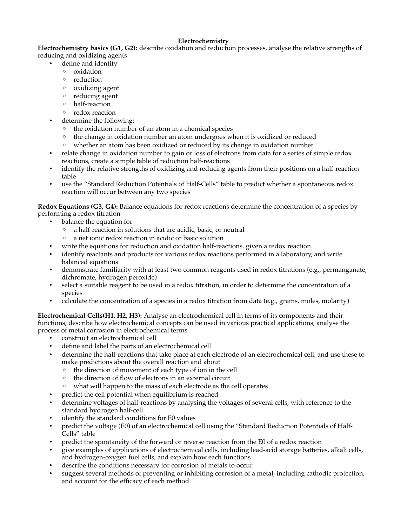# **Electrochemistry**

**Electrochemistry basics (G1, G2):** describe oxidation and reduction processes, analyse the relative strengths of reducing and oxidizing agents

- define and identify
- oxidation
	- reduction
	- oxidizing agent
	- reducing agent
	- half-reaction
	- redox reaction
- determine the following:
	- the oxidation number of an atom in a chemical species
	- the change in oxidation number an atom undergoes when it is oxidized or reduced
	- whether an atom has been oxidized or reduced by its change in oxidation number
- relate change in oxidation number to gain or loss of electrons from data for a series of simple redox reactions, create a simple table of reduction half-reactions
- identify the relative strengths of oxidizing and reducing agents from their positions on a half-reaction table
- use the "Standard Reduction Potentials of Half-Cells" table to predict whether a spontaneous redox reaction will occur between any two species

**Redox Equations (G3, G4):** Balance equations for redox reactions determine the concentration of a species by performing a redox titration

- balance the equation for
	- a half-reaction in solutions that are acidic, basic, or neutral
	- a net ionic redox reaction in acidic or basic solution
- write the equations for reduction and oxidation half-reactions, given a redox reaction
- identify reactants and products for various redox reactions performed in a laboratory, and write balanced equations
- demonstrate familiarity with at least two common reagents used in redox titrations (e.g., permanganate, dichromate, hydrogen peroxide)
- select a suitable reagent to be used in a redox titration, in order to determine the concentration of a species
- calculate the concentration of a species in a redox titration from data (e.g., grams, moles, molarity)

**Electrochemical Cells(H1, H2, H3):** Analyse an electrochemical cell in terms of its components and their functions, describe how electrochemical concepts can be used in various practical applications, analyse the process of metal corrosion in electrochemical terms

- construct an electrochemical cell
- define and label the parts of an electrochemical cell
- determine the half-reactions that take place at each electrode of an electrochemical cell, and use these to make predictions about the overall reaction and about
	- the direction of movement of each type of ion in the cell
	- the direction of flow of electrons in an external circuit
	- what will happen to the mass of each electrode as the cell operates
- predict the cell potential when equilibrium is reached
- determine voltages of half-reactions by analysing the voltages of several cells, with reference to the standard hydrogen half-cell
- identify the standard conditions for E0 values
- predict the voltage (E0) of an electrochemical cell using the "Standard Reduction Potentials of Half-Cells" table
- predict the spontaneity of the forward or reverse reaction from the E0 of a redox reaction
- give examples of applications of electrochemical cells, including lead-acid storage batteries, alkali cells, and hydrogen-oxygen fuel cells, and explain how each functions
- describe the conditions necessary for corrosion of metals to occur
- suggest several methods of preventing or inhibiting corrosion of a metal, including cathodic protection, and account for the efficacy of each method